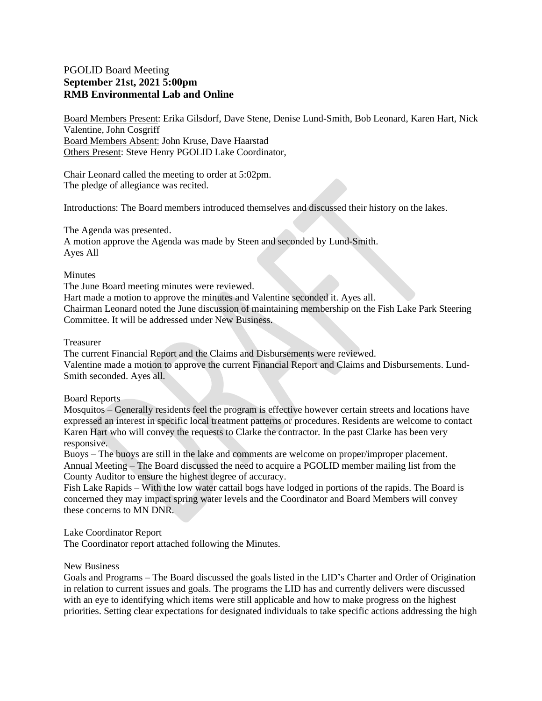## PGOLID Board Meeting **September 21st, 2021 5:00pm RMB Environmental Lab and Online**

Board Members Present: Erika Gilsdorf, Dave Stene, Denise Lund-Smith, Bob Leonard, Karen Hart, Nick Valentine, John Cosgriff Board Members Absent: John Kruse, Dave Haarstad Others Present: Steve Henry PGOLID Lake Coordinator,

Chair Leonard called the meeting to order at 5:02pm. The pledge of allegiance was recited.

Introductions: The Board members introduced themselves and discussed their history on the lakes.

The Agenda was presented.

A motion approve the Agenda was made by Steen and seconded by Lund-Smith. Ayes All

### **Minutes**

The June Board meeting minutes were reviewed.

Hart made a motion to approve the minutes and Valentine seconded it. Ayes all.

Chairman Leonard noted the June discussion of maintaining membership on the Fish Lake Park Steering Committee. It will be addressed under New Business.

### Treasurer

The current Financial Report and the Claims and Disbursements were reviewed. Valentine made a motion to approve the current Financial Report and Claims and Disbursements. Lund-Smith seconded. Ayes all.

### Board Reports

Mosquitos – Generally residents feel the program is effective however certain streets and locations have expressed an interest in specific local treatment patterns or procedures. Residents are welcome to contact Karen Hart who will convey the requests to Clarke the contractor. In the past Clarke has been very responsive.

Buoys – The buoys are still in the lake and comments are welcome on proper/improper placement. Annual Meeting – The Board discussed the need to acquire a PGOLID member mailing list from the County Auditor to ensure the highest degree of accuracy.

Fish Lake Rapids – With the low water cattail bogs have lodged in portions of the rapids. The Board is concerned they may impact spring water levels and the Coordinator and Board Members will convey these concerns to MN DNR.

## Lake Coordinator Report

The Coordinator report attached following the Minutes.

## New Business

Goals and Programs – The Board discussed the goals listed in the LID's Charter and Order of Origination in relation to current issues and goals. The programs the LID has and currently delivers were discussed with an eye to identifying which items were still applicable and how to make progress on the highest priorities. Setting clear expectations for designated individuals to take specific actions addressing the high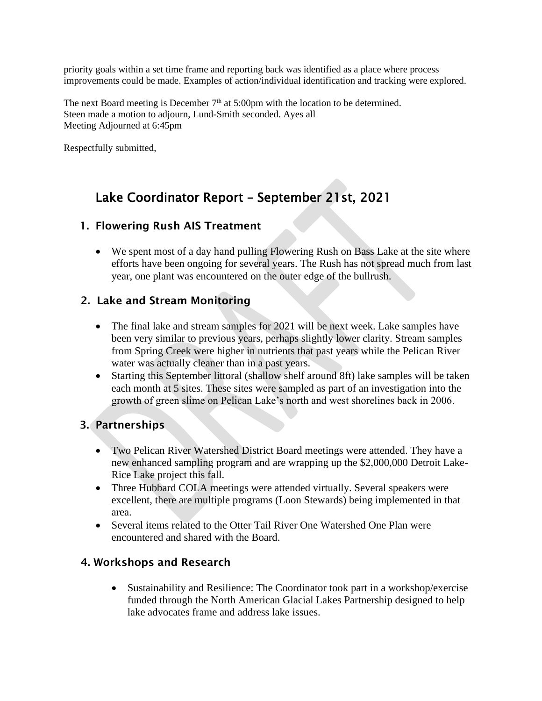priority goals within a set time frame and reporting back was identified as a place where process improvements could be made. Examples of action/individual identification and tracking were explored.

The next Board meeting is December  $7<sup>th</sup>$  at 5:00pm with the location to be determined. Steen made a motion to adjourn, Lund-Smith seconded. Ayes all Meeting Adjourned at 6:45pm

Respectfully submitted,

# Lake Coordinator Report – September 21st, 2021

# 1. Flowering Rush AIS Treatment

• We spent most of a day hand pulling Flowering Rush on Bass Lake at the site where efforts have been ongoing for several years. The Rush has not spread much from last year, one plant was encountered on the outer edge of the bullrush.

## 2. Lake and Stream Monitoring

- The final lake and stream samples for 2021 will be next week. Lake samples have been very similar to previous years, perhaps slightly lower clarity. Stream samples from Spring Creek were higher in nutrients that past years while the Pelican River water was actually cleaner than in a past years.
- Starting this September littoral (shallow shelf around 8ft) lake samples will be taken each month at 5 sites. These sites were sampled as part of an investigation into the growth of green slime on Pelican Lake's north and west shorelines back in 2006.

# 3. Partnerships

- Two Pelican River Watershed District Board meetings were attended. They have a new enhanced sampling program and are wrapping up the \$2,000,000 Detroit Lake-Rice Lake project this fall.
- Three Hubbard COLA meetings were attended virtually. Several speakers were excellent, there are multiple programs (Loon Stewards) being implemented in that area.
- Several items related to the Otter Tail River One Watershed One Plan were encountered and shared with the Board.

# 4. Workshops and Research

• Sustainability and Resilience: The Coordinator took part in a workshop/exercise funded through the North American Glacial Lakes Partnership designed to help lake advocates frame and address lake issues.